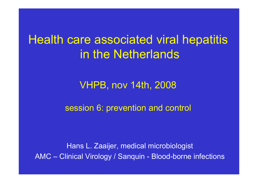## Health care associated viral hepatitis in the Netherlands

### VHPB, nov 14th, 2008

### session 6: prevention and control

Hans L. Zaaijer, medical microbiologist AMC – Clinical Virology / Sanquin - Blood-borne infections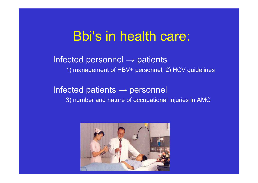## Bbi's in health care:

Infected personnel  $\rightarrow$  patients 1) management of HBV+ personnel; 2) HCV guidelines

Infected patients  $\rightarrow$  personnel 3) number and nature of occupational injuries in AMC

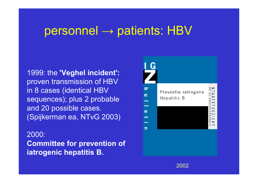## $personel \rightarrow patients: HBV$

1999: the **'Veghel incident':** proven transmission of HBV in 8 cases (identical HBV sequences); plus 2 probable and 20 possible cases. (Spijkerman ea, NTvG 2003)

#### 2000:

**Committee for prevention of iatrogenic hepatitis B.**

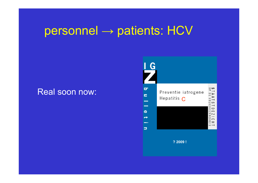## personnel → patients: HCV

### Real soon now:



**? 2009 !**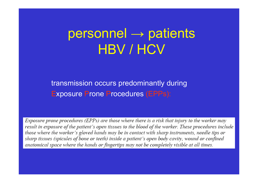#### personnel  $\longrightarrow$  $\rightarrow$  patients HBV / HCV

transmission occurs predominantly during Exposure Prone Procedures (EPPs):

Exposure prone procedures (EPPs) are those where there is a risk that injury to the worker may result in exposure of the patient's open tissues to the blood of the worker. These procedures include those where the worker's gloved hands may be in contact with sharp instruments, needle tips or sharp tissues (spicules of bone or teeth) inside a patient's open body cavity, wound or confined anatomical space where the hands or fingertips may not be completely visible at all times.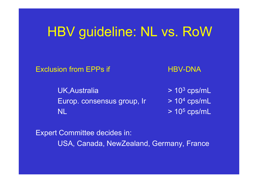# HBV guideline: NL vs. RoW

Exclusion from EPPs

**UK, Australia** Europ. consensus group, Ir NL $\mathsf L$   $\qquad \qquad \mathsf{2D5}$  cps/m $\mathsf L$ 

HBV-DNA

 $^3$  cps/mL  $^4$  cps/mL

Expert Committee decides in: USA, Canada, NewZealand, Germany, France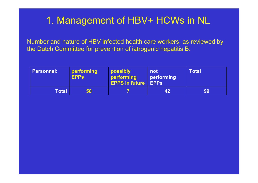### 1. Management of HBV+ HCWs in NL

Number and nature of HBV infected health care workers, as reviewed by the Dutch Committee for prevention of iatrogenic hepatitis B:

| Personnel: | performing<br><b>EPPs</b> | possibly<br>performing<br><b>EPPS in future EPPs</b> | not<br>performing | <b>Total</b> |
|------------|---------------------------|------------------------------------------------------|-------------------|--------------|
| Total      | 50                        |                                                      | 42                | 99           |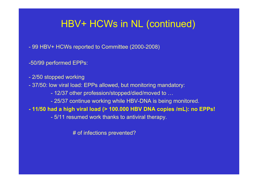### HBV+ HCWs in NL (continued)

- 99 HBV+ HCWs reported to Committee (2000-2008)

-50/99 performed EPPs:

- 2/50 stopped working
- 37/50: low viral load: EPPs allowed, but monitoring mandatory:
	- 12/37 other profession/stopped/died/moved to …
	- 25/37 continue working while HBV-DNA is being monitored.

**- 11/50 had a high viral load (> 100.000 HBV DNA copies /mL): no EPPs!**

- 5/11 resumed work thanks to antiviral therapy.

# of infections prevented?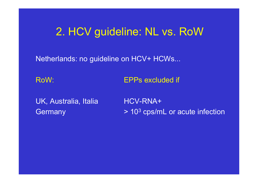## 2. HCV guideline: NL vs. RoW

Netherlands: no guideline on HCV+ HCWs...

RoW:EPPs excluded if

UK, Australia, Italia HCV-RNA+ **Germany** 

 $^3$  cps/mL or acute infection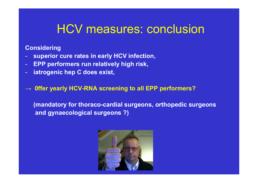## HCV measures: conclusion

#### **Considering**

- **superior cure rates in early HCV infection,**
- -**EPP performers run relatively high risk,**
- **iatrogenic hep C does exist,**

#### **→ 0ffer yearly HCV-RNA screening to all EPP performers?**

**(mandatory for thoraco-cardial surgeons, orthopedic surgeons and gynaecological surgeons ?)**

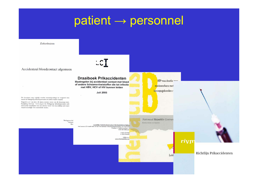## patient → personnel

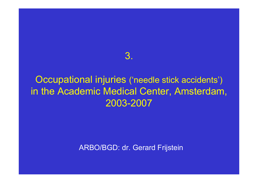### 3.

### Occupational injuries ('needle stick accidents') in the Academic Medical Center, Amsterdam, 2003-2007

ARBO/BGD: dr. Gerard Frijstein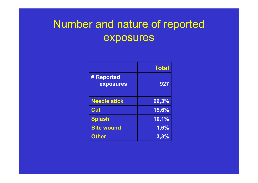## Number and nature of reported exposures

|                     | <b>Total</b> |
|---------------------|--------------|
| # Reported          |              |
| exposures           | 927          |
|                     |              |
| <b>Needle stick</b> | 69,3%        |
| Cut                 | 15,6%        |
| <b>Splash</b>       | 10,1%        |
| <b>Bite wound</b>   | 1,6%         |
| <b>Other</b>        | 3,3%         |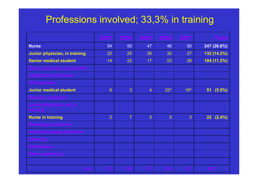### Professions involved; 33,3% in training

|                                      | 2003           | 2004           | 2005           | 2006            | 2007            | <b>Total</b>    |
|--------------------------------------|----------------|----------------|----------------|-----------------|-----------------|-----------------|
| <b>Nurse</b>                         | 54             | 50             | 47             | 46              | 50              | 247 (26.6%)     |
| Junior physician, in training        | 22             | 25             | 26             | 32              | 27              | 132 (14.2%)     |
| <b>Senior medical student</b>        | 14             | 22             | 17             | 23              | 28              | 104 (11.2%)     |
| Senior physician (specialist)        |                |                |                |                 |                 |                 |
| Laboratory technician                |                |                |                |                 |                 |                 |
| <b>OR-assistant</b>                  |                |                |                |                 |                 |                 |
| <b>Junior medical student</b>        | 6              | 3              | $\overline{4}$ | 22 <sup>A</sup> | 16 <sup>A</sup> | $(5.5\%)$<br>51 |
| Doctor's assistant                   |                |                |                |                 |                 |                 |
| Junior physician, not in<br>training |                |                |                |                 |                 |                 |
| <b>Nurse in training</b>             | $\overline{2}$ | $\overline{7}$ | 5              | 5               | 3               | $22(2.4\%)$     |
| <b>Radiology technician</b>          |                |                |                |                 |                 |                 |
| Anaesthesiology assistant            |                |                |                |                 |                 |                 |
| <b>Cleaning</b>                      |                |                |                |                 |                 |                 |
| <b>Sterilisation</b>                 |                |                |                |                 |                 |                 |
| Other profession                     |                |                |                |                 |                 |                 |
|                                      |                |                |                |                 |                 |                 |
| Total                                | 167            | 86             | 173            |                 |                 | 927             |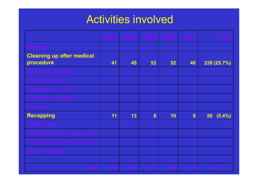## Activities involved

|                                               | 2003 | 2004 | 2005 | $-2006$ | 2007 | <b>Total</b> |
|-----------------------------------------------|------|------|------|---------|------|--------------|
| <b>Activity</b>                               |      |      |      |         |      |              |
| <b>Cleaning up after medical</b><br>procedure | 41   | 45   | 52   | 52      | 48   | 238 (25.7%)  |
| Operation, stitching                          |      |      |      |         |      |              |
| <b>Blood sampling</b>                         |      |      |      |         |      |              |
| Handling of i.v. drip                         |      |      |      |         |      |              |
| Laboratory activities                         |      |      |      |         |      |              |
| Injection                                     |      |      |      |         |      |              |
| <b>Recapping</b>                              | 11   | 13   | 8    | 10      | 8    | (5.4%)<br>50 |
| Patient care                                  |      |      |      |         |      |              |
| Assistance during operation                   |      |      |      |         |      |              |
| Handling of catheter or drain                 |      |      |      |         |      |              |
| Other activities                              |      |      |      |         |      |              |
|                                               |      |      |      |         |      |              |
| <b>Total</b>                                  | 167  | 186  | 173  | 204     | 197  | 927          |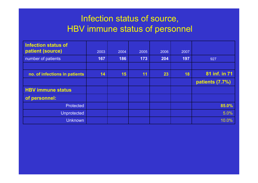### Infection status of source, HBV immune status of personnel

| <b>Infection status of</b><br>patient (source) | 2003 | 2004 | 2005 | 2006 | 2007 |                 |
|------------------------------------------------|------|------|------|------|------|-----------------|
| number of patients                             | 167  | 186  | 173  | 204  | 197  | 927             |
|                                                |      |      |      |      |      |                 |
| no. of infections in patients                  | 14   | 15   | 11   | 23   | 18   | 81 inf. in 71   |
|                                                |      |      |      |      |      | patients (7.7%) |
| <b>HBV immune status</b>                       |      |      |      |      |      |                 |
| of personnel:                                  |      |      |      |      |      |                 |
| <b>Protected</b>                               |      |      |      |      |      | 85.0%           |
| <b>Unprotected</b>                             |      |      |      |      |      | 5.0%            |
| <b>Unknown</b>                                 |      |      |      |      |      | 10.0%           |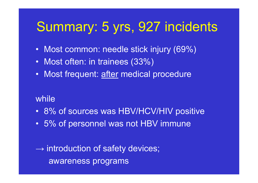# Summary: 5 yrs, 927 incidents

- $\bullet$ Most common: needle stick injury (69%)
- $\bullet$ Most often: in trainees (33%)
- •Most frequent: after medical procedure

### while

- 8% of sources was HBV/HCV/HIV positive
- 5% of personnel was not HBV immune

 $\longrightarrow$  $\rightarrow$  introduction of safety devices; awareness programs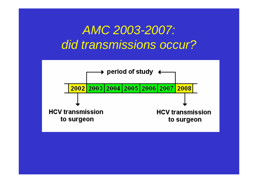## *AMC 2003-2007: did transmissions occur?*

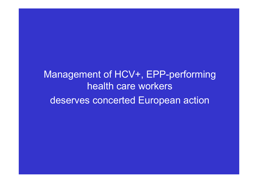Management of HCV+, EPP-performing health care workersdeserves concerted European action